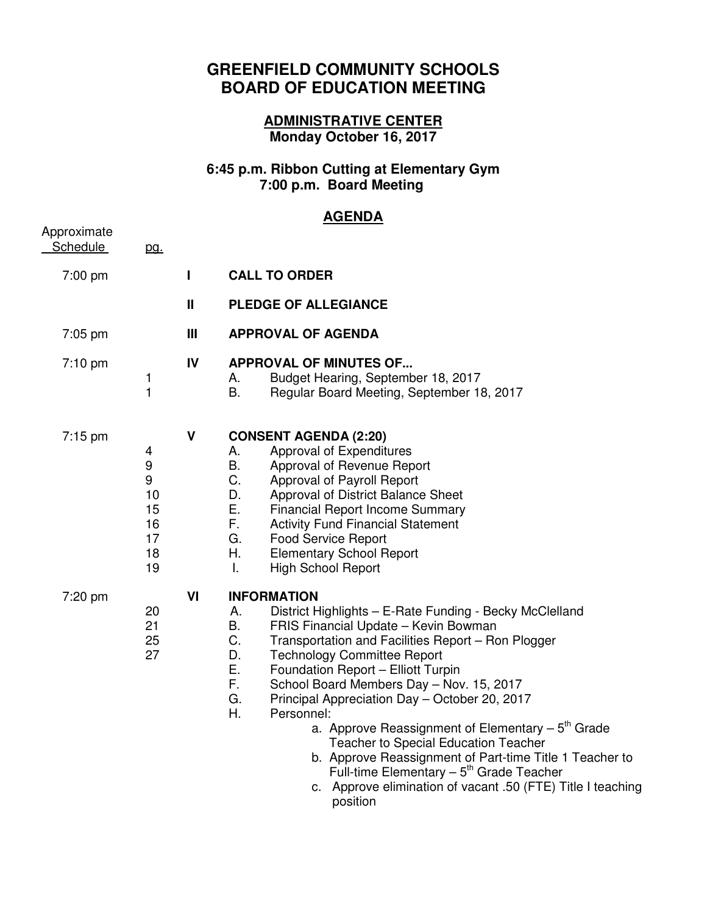## **GREENFIELD COMMUNITY SCHOOLS BOARD OF EDUCATION MEETING**

## **ADMINISTRATIVE CENTER Monday October 16, 2017**

## **6:45 p.m. Ribbon Cutting at Elementary Gym 7:00 p.m. Board Meeting**

## **AGENDA**

|                         |                                                 |              | <u>.</u>                                                                                                                                                                                                                                                                                                                                                                                                                                                                                                                                                                                                                                                                                                               |
|-------------------------|-------------------------------------------------|--------------|------------------------------------------------------------------------------------------------------------------------------------------------------------------------------------------------------------------------------------------------------------------------------------------------------------------------------------------------------------------------------------------------------------------------------------------------------------------------------------------------------------------------------------------------------------------------------------------------------------------------------------------------------------------------------------------------------------------------|
| Approximate<br>Schedule | pg.                                             |              |                                                                                                                                                                                                                                                                                                                                                                                                                                                                                                                                                                                                                                                                                                                        |
| 7:00 pm                 |                                                 | L            | <b>CALL TO ORDER</b>                                                                                                                                                                                                                                                                                                                                                                                                                                                                                                                                                                                                                                                                                                   |
|                         |                                                 | $\mathbf{I}$ | <b>PLEDGE OF ALLEGIANCE</b>                                                                                                                                                                                                                                                                                                                                                                                                                                                                                                                                                                                                                                                                                            |
| 7:05 pm                 |                                                 | Ш            | <b>APPROVAL OF AGENDA</b>                                                                                                                                                                                                                                                                                                                                                                                                                                                                                                                                                                                                                                                                                              |
| $7:10$ pm               | 1<br>$\mathbf{1}$                               | IV           | <b>APPROVAL OF MINUTES OF</b><br>Budget Hearing, September 18, 2017<br>А.<br>В.<br>Regular Board Meeting, September 18, 2017                                                                                                                                                                                                                                                                                                                                                                                                                                                                                                                                                                                           |
| $7:15 \text{ pm}$       | 4<br>9<br>9<br>10<br>15<br>16<br>17<br>18<br>19 | $\mathbf v$  | <b>CONSENT AGENDA (2:20)</b><br>Approval of Expenditures<br>А.<br>B.<br>Approval of Revenue Report<br>C.<br>Approval of Payroll Report<br>D.<br>Approval of District Balance Sheet<br>Ε.<br><b>Financial Report Income Summary</b><br>F.<br><b>Activity Fund Financial Statement</b><br>G.<br><b>Food Service Report</b><br>Н.<br><b>Elementary School Report</b><br>I.<br><b>High School Report</b>                                                                                                                                                                                                                                                                                                                   |
| 7:20 pm                 | 20<br>21<br>25<br>27                            | VI           | <b>INFORMATION</b><br>District Highlights - E-Rate Funding - Becky McClelland<br>Α.<br>Β.<br>FRIS Financial Update - Kevin Bowman<br>C.<br>Transportation and Facilities Report - Ron Plogger<br>D.<br><b>Technology Committee Report</b><br>Ε.<br>Foundation Report - Elliott Turpin<br>F.<br>School Board Members Day - Nov. 15, 2017<br>G.<br>Principal Appreciation Day - October 20, 2017<br>Η.<br>Personnel:<br>a. Approve Reassignment of Elementary $-5th$ Grade<br><b>Teacher to Special Education Teacher</b><br>b. Approve Reassignment of Part-time Title 1 Teacher to<br>Full-time Elementary $-5$ <sup>th</sup> Grade Teacher<br>c. Approve elimination of vacant .50 (FTE) Title I teaching<br>position |